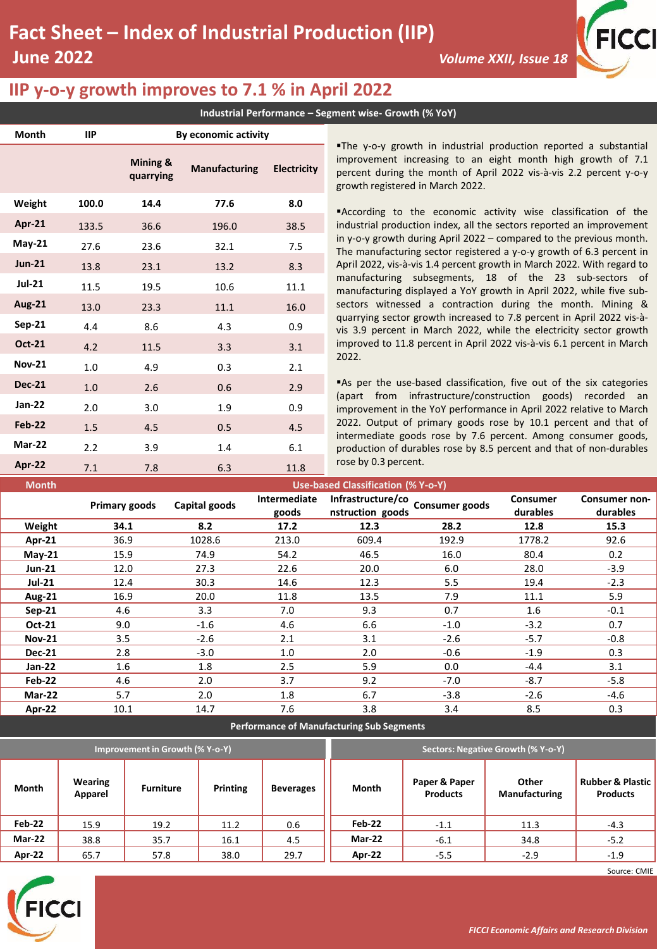

## **IIP y-o-y growth improves to 7.1 % in April 2022**

**Mar-22** 2.2 3.9 1.4 6.1

**Industrial Performance – Segment wise- Growth (% YoY)**

| Month         | IIP.  | By economic activity  |                      |                    |                                                                                                                                                                                                                                           |  |  |  |
|---------------|-------|-----------------------|----------------------|--------------------|-------------------------------------------------------------------------------------------------------------------------------------------------------------------------------------------------------------------------------------------|--|--|--|
|               |       | Mining &<br>quarrying | <b>Manufacturing</b> | <b>Electricity</b> | The y-o-y growth in industrial production reported a substantial<br>improvement increasing to an eight month high growth of 7.1<br>percent during the month of April 2022 vis-à-vis 2.2 percent y-o-y<br>growth registered in March 2022. |  |  |  |
| Weight        | 100.0 | 14.4                  | 77.6                 | 8.0                | According to the economic activity wise classification of the                                                                                                                                                                             |  |  |  |
| <b>Apr-21</b> | 133.5 | 36.6                  | 196.0                | 38.5               | industrial production index, all the sectors reported an improvement                                                                                                                                                                      |  |  |  |
| <b>May-21</b> | 27.6  | 23.6                  | 32.1                 | 7.5                | in y-o-y growth during April $2022$ – compared to the previous month.<br>The manufacturing sector registered a y-o-y growth of 6.3 percent in                                                                                             |  |  |  |
| <b>Jun-21</b> | 13.8  | 23.1                  | 13.2                 | 8.3                | April 2022, vis-à-vis 1.4 percent growth in March 2022. With regard to                                                                                                                                                                    |  |  |  |
| <b>Jul-21</b> | 11.5  | 19.5                  | 10.6                 | 11.1               | manufacturing subsegments, 18 of the 23 sub-sectors of<br>manufacturing displayed a YoY growth in April 2022, while five sub-                                                                                                             |  |  |  |
| <b>Aug-21</b> | 13.0  | 23.3                  | 11.1                 | 16.0               | sectors witnessed a contraction during the month. Mining &                                                                                                                                                                                |  |  |  |
| Sep-21        | 4.4   | 8.6                   | 4.3                  | 0.9                | quarrying sector growth increased to 7.8 percent in April 2022 vis-à-<br>vis 3.9 percent in March 2022, while the electricity sector growth                                                                                               |  |  |  |
| Oct-21        | 4.2   | 11.5                  | 3.3                  | 3.1                | improved to 11.8 percent in April 2022 vis-à-vis 6.1 percent in March                                                                                                                                                                     |  |  |  |
| <b>Nov-21</b> | 1.0   | 4.9                   | 0.3                  | 2.1                | 2022.                                                                                                                                                                                                                                     |  |  |  |
| <b>Dec-21</b> | 1.0   | 2.6                   | 0.6                  | 2.9                | As per the use-based classification, five out of the six categories                                                                                                                                                                       |  |  |  |
| Jan-22        | 2.0   | 3.0                   | 1.9                  | 0.9                | (apart from infrastructure/construction goods) recorded an<br>improvement in the YoY performance in April 2022 relative to March                                                                                                          |  |  |  |
| <b>Feb-22</b> | 1.5   | 4.5                   | 0.5                  | 4.5                | 2022. Output of primary goods rose by 10.1 percent and that of                                                                                                                                                                            |  |  |  |
|               |       |                       |                      |                    | intermediate goods rose by 7.6 percent. Among consumer goods,                                                                                                                                                                             |  |  |  |

| Apr-22        | 7.1                                | 7.8  | 6.3           | 11.8                  | rose by 0.3 percent.                                           |        |                      |                           |  |  |
|---------------|------------------------------------|------|---------------|-----------------------|----------------------------------------------------------------|--------|----------------------|---------------------------|--|--|
| <b>Month</b>  | Use-based Classification (% Y-o-Y) |      |               |                       |                                                                |        |                      |                           |  |  |
|               | Primary goods                      |      | Capital goods | Intermediate<br>goods | Infrastructure/co<br><b>Consumer goods</b><br>nstruction goods |        | Consumer<br>durables | Consumer non-<br>durables |  |  |
| Weight        |                                    | 34.1 | 8.2           | 17.2                  | 12.3                                                           | 28.2   | 12.8                 | 15.3                      |  |  |
| Apr-21        |                                    | 36.9 | 1028.6        | 213.0                 | 609.4                                                          | 192.9  | 1778.2               | 92.6                      |  |  |
| $May-21$      |                                    | 15.9 | 74.9          | 54.2                  | 46.5                                                           | 16.0   | 80.4                 | 0.2                       |  |  |
| <b>Jun-21</b> |                                    | 12.0 | 27.3          | 22.6                  | 20.0                                                           | 6.0    | 28.0                 | $-3.9$                    |  |  |
| <b>Jul-21</b> |                                    | 12.4 | 30.3          | 14.6                  | 12.3                                                           | 5.5    | 19.4                 | $-2.3$                    |  |  |
| <b>Aug-21</b> |                                    | 16.9 | 20.0          | 11.8                  | 13.5                                                           | 7.9    | 11.1                 | 5.9                       |  |  |
| $Sep-21$      | 4.6                                |      | 3.3           | 7.0                   | 9.3                                                            | 0.7    | 1.6                  | $-0.1$                    |  |  |
| Oct-21        |                                    | 9.0  | $-1.6$        | 4.6                   | 6.6                                                            | $-1.0$ | $-3.2$               | 0.7                       |  |  |
| <b>Nov-21</b> |                                    | 3.5  | $-2.6$        | 2.1                   | 3.1                                                            | $-2.6$ | $-5.7$               | $-0.8$                    |  |  |
| <b>Dec-21</b> |                                    | 2.8  | $-3.0$        | 1.0                   | 2.0                                                            | $-0.6$ | $-1.9$               | 0.3                       |  |  |
| Jan-22        |                                    | 1.6  | 1.8           | 2.5                   | 5.9                                                            | 0.0    | $-4.4$               | 3.1                       |  |  |
| Feb-22        |                                    | 4.6  | 2.0           | 3.7                   | 9.2                                                            | $-7.0$ | $-8.7$               | $-5.8$                    |  |  |
| Mar-22        |                                    | 5.7  | 2.0           | 1.8                   | 6.7                                                            | $-3.8$ | $-2.6$               | -4.6                      |  |  |
| Apr-22        |                                    | 10.1 | 14.7          | 7.6                   | 3.8                                                            | 3.4    | 8.5                  | 0.3                       |  |  |
|               |                                    |      |               |                       |                                                                |        |                      |                           |  |  |

rose by 0.3 percent.

**Performance of Manufacturing Sub Segments** 

|        |                    | Improvement in Growth (% Y-o-Y) |          |                  | <b>Sectors: Negative Growth (% Y-o-Y)</b> |                                  |                        |                                                |  |
|--------|--------------------|---------------------------------|----------|------------------|-------------------------------------------|----------------------------------|------------------------|------------------------------------------------|--|
| Month  | Wearing<br>Apparel | <b>Furniture</b>                | Printing | <b>Beverages</b> | Month                                     | Paper & Paper<br><b>Products</b> | Other<br>Manufacturing | <b>Rubber &amp; Plastic</b><br><b>Products</b> |  |
| Feb-22 | 15.9               | 19.2                            | 11.2     | 0.6              | Feb-22                                    | $-1.1$                           | 11.3                   | $-4.3$                                         |  |
| Mar-22 | 38.8               | 35.7                            | 16.1     | 4.5              | Mar-22                                    | $-6.1$                           | 34.8                   | $-5.2$                                         |  |
| Apr-22 | 65.7               | 57.8                            | 38.0     | 29.7             | Apr-22                                    | $-5.5$                           | $-2.9$                 | $-1.9$                                         |  |



Source: CMIE

production of durables rose by 8.5 percent and that of non-durables